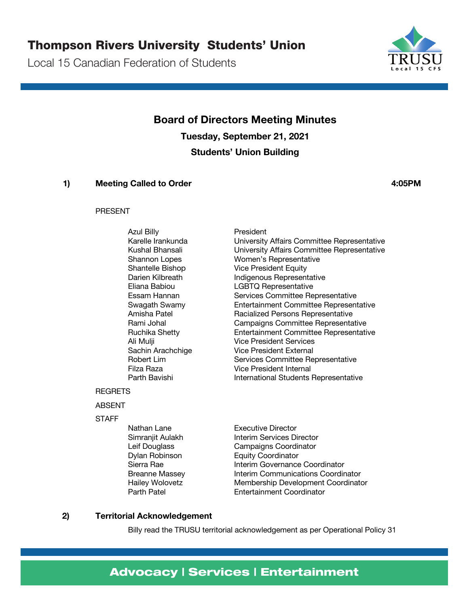### Thompson Rivers University Students' Union

Local 15 Canadian Federation of Students



**Board of Directors Meeting Minutes Tuesday, September 21, 2021 Students' Union Building**

### **1) Meeting Called to Order 4:05PM**

### PRESENT

Azul Billy **President** 

### Karelle Irankunda University Affairs Committee Representative<br>Kushal Bhansali University Affairs Committee Representative University Affairs Committee Representative Shannon Lopes Women's Representative Shantelle Bishop Vice President Equity Darien Kilbreath Indigenous Representative Eliana Babiou LGBTQ Representative Essam Hannan Services Committee Representative Swagath Swamy Entertainment Committee Representative Amisha Patel **Racialized Persons Representative** Rami Johal Campaigns Committee Representative Ruchika Shetty Entertainment Committee Representative Ali Mulji Vice President Services Sachin Arachchige Vice President External Robert Lim Services Committee Representative Filza Raza Vice President Internal Parth Bavishi **International Students Representative**

### **REGRETS**

### ABSENT

**STAFF** 

Nathan Lane **Executive Director** 

Simranjit Aulakh Interim Services Director Leif Douglass Campaigns Coordinator Dylan Robinson Equity Coordinator Sierra Rae **Interim Governance Coordinator** Breanne Massey **Interim Communications Coordinator** Hailey Wolovetz Membership Development Coordinator Parth Patel Entertainment Coordinator

### **2) Territorial Acknowledgement**

Billy read the TRUSU territorial acknowledgement as per Operational Policy 31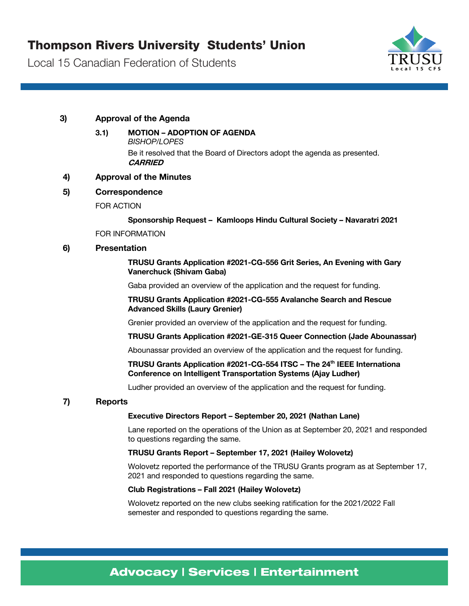

### **3) Approval of the Agenda**

### **3.1) MOTION – ADOPTION OF AGENDA**

*BISHOP/LOPES*

Be it resolved that the Board of Directors adopt the agenda as presented. **CARRIED**

### **4) Approval of the Minutes**

### **5) Correspondence**

FOR ACTION

### **Sponsorship Request – Kamloops Hindu Cultural Society – Navaratri 2021**

FOR INFORMATION

### **6) Presentation**

### **TRUSU Grants Application #2021-CG-556 Grit Series, An Evening with Gary Vanerchuck (Shivam Gaba)**

Gaba provided an overview of the application and the request for funding.

### **TRUSU Grants Application #2021-CG-555 Avalanche Search and Rescue Advanced Skills (Laury Grenier)**

Grenier provided an overview of the application and the request for funding.

### **TRUSU Grants Application #2021-GE-315 Queer Connection (Jade Abounassar)**

Abounassar provided an overview of the application and the request for funding.

### **TRUSU Grants Application #2021-CG-554 ITSC – The 24th IEEE Internationa Conference on Intelligent Transportation Systems (Ajay Ludher)**

Ludher provided an overview of the application and the request for funding.

### **7) Reports**

### **Executive Directors Report – September 20, 2021 (Nathan Lane)**

Lane reported on the operations of the Union as at September 20, 2021 and responded to questions regarding the same.

### **TRUSU Grants Report – September 17, 2021 (Hailey Wolovetz)**

Wolovetz reported the performance of the TRUSU Grants program as at September 17, 2021 and responded to questions regarding the same.

### **Club Registrations – Fall 2021 (Hailey Wolovetz)**

Wolovetz reported on the new clubs seeking ratification for the 2021/2022 Fall semester and responded to questions regarding the same.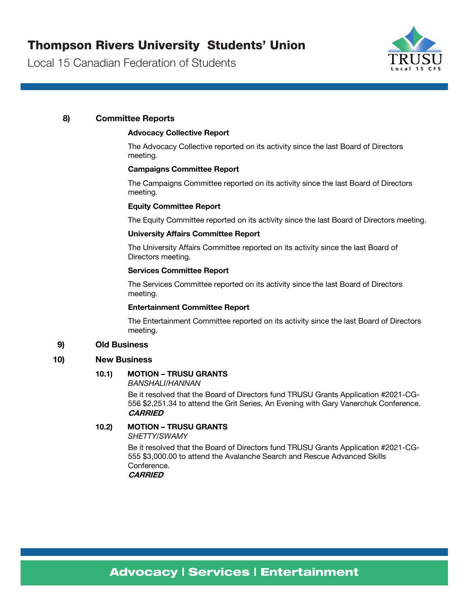

### **8) Committee Reports**

### **Advocacy Collective Report**

The Advocacy Collective reported on its activity since the last Board of Directors meeting.

### **Campaigns Committee Report**

The Campaigns Committee reported on its activity since the last Board of Directors meeting.

### **Equity Committee Report**

The Equity Committee reported on its activity since the last Board of Directors meeting.

### **University Affairs Committee Report**

The University Affairs Committee reported on its activity since the last Board of Directors meeting.

#### **Services Committee Report**

The Services Committee reported on its activity since the last Board of Directors meeting.

#### **Entertainment Committee Report**

The Entertainment Committee reported on its activity since the last Board of Directors meeting.

### **9) Old Business**

### **10) New Business**

### **10.1) MOTION – TRUSU GRANTS**

*BANSHALI/HANNAN*

Be it resolved that the Board of Directors fund TRUSU Grants Application #2021-CG-556 \$2,251.34 to attend the Grit Series, An Evening with Gary Vanerchuk Conference. **CARRIED**

### **10.2) MOTION – TRUSU GRANTS**

*SHETTY/SWAMY*

Be it resolved that the Board of Directors fund TRUSU Grants Application #2021-CG-555 \$3,000.00 to attend the Avalanche Search and Rescue Advanced Skills **Conference CARRIED**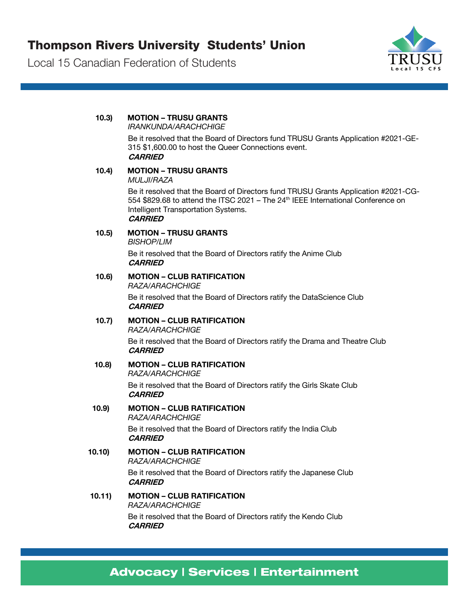

### **10.3) MOTION – TRUSU GRANTS**  *IRANKUNDA/ARACHCHIGE* Be it resolved that the Board of Directors fund TRUSU Grants Application #2021-GE-315 \$1,600.00 to host the Queer Connections event. **CARRIED 10.4) MOTION – TRUSU GRANTS**  *MULJI/RAZA* Be it resolved that the Board of Directors fund TRUSU Grants Application #2021-CG-554 \$829.68 to attend the ITSC 2021 - The 24<sup>th</sup> IEEE International Conference on Intelligent Transportation Systems. **CARRIED 10.5) MOTION – TRUSU GRANTS**  *BISHOP/LIM* Be it resolved that the Board of Directors ratify the Anime Club **CARRIED 10.6) MOTION – CLUB RATIFICATION** *RAZA/ARACHCHIGE* Be it resolved that the Board of Directors ratify the DataScience Club **CARRIED 10.7) MOTION – CLUB RATIFICATION** *RAZA/ARACHCHIGE* Be it resolved that the Board of Directors ratify the Drama and Theatre Club **CARRIED 10.8) MOTION – CLUB RATIFICATION** *RAZA/ARACHCHIGE* Be it resolved that the Board of Directors ratify the Girls Skate Club **CARRIED 10.9) MOTION – CLUB RATIFICATION** *RAZA/ARACHCHIGE* Be it resolved that the Board of Directors ratify the India Club **CARRIED 10.10) MOTION – CLUB RATIFICATION** *RAZA/ARACHCHIGE* Be it resolved that the Board of Directors ratify the Japanese Club **CARRIED 10.11) MOTION – CLUB RATIFICATION** *RAZA/ARACHCHIGE* Be it resolved that the Board of Directors ratify the Kendo Club **CARRIED**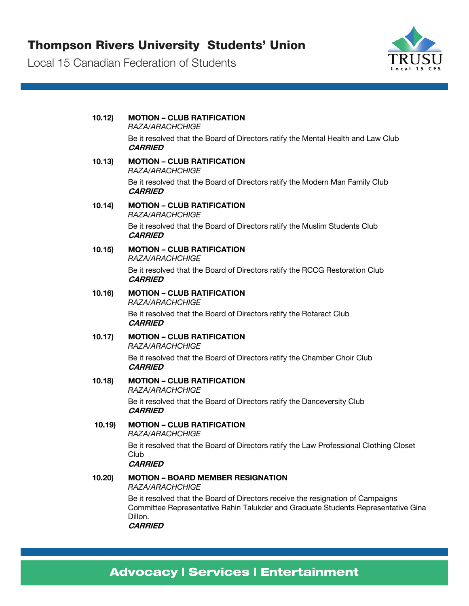

| 10.12  | <b>MOTION - CLUB RATIFICATION</b><br>RAZA/ARACHCHIGE                                                                                                                                              |
|--------|---------------------------------------------------------------------------------------------------------------------------------------------------------------------------------------------------|
|        | Be it resolved that the Board of Directors ratify the Mental Health and Law Club<br><b>CARRIED</b>                                                                                                |
| 10.13  | <b>MOTION - CLUB RATIFICATION</b><br>RAZA/ARACHCHIGE                                                                                                                                              |
|        | Be it resolved that the Board of Directors ratify the Modern Man Family Club<br><b>CARRIED</b>                                                                                                    |
| 10.14) | <b>MOTION - CLUB RATIFICATION</b><br>RAZA/ARACHCHIGE                                                                                                                                              |
|        | Be it resolved that the Board of Directors ratify the Muslim Students Club<br><b>CARRIED</b>                                                                                                      |
| 10.15) | <b>MOTION - CLUB RATIFICATION</b><br>RAZA/ARACHCHIGE                                                                                                                                              |
|        | Be it resolved that the Board of Directors ratify the RCCG Restoration Club<br><b>CARRIED</b>                                                                                                     |
| 10.16  | <b>MOTION - CLUB RATIFICATION</b><br>RAZA/ARACHCHIGE                                                                                                                                              |
|        | Be it resolved that the Board of Directors ratify the Rotaract Club<br><b>CARRIED</b>                                                                                                             |
| 10.17) | <b>MOTION - CLUB RATIFICATION</b><br>RAZA/ARACHCHIGE                                                                                                                                              |
|        | Be it resolved that the Board of Directors ratify the Chamber Choir Club<br><b>CARRIED</b>                                                                                                        |
| 10.18  | <b>MOTION - CLUB RATIFICATION</b><br>RAZA/ARACHCHIGE                                                                                                                                              |
|        | Be it resolved that the Board of Directors ratify the Danceversity Club<br><b>CARRIED</b>                                                                                                         |
| 10.19  | <b>MOTION - CLUB RATIFICATION</b><br>RAZA/ARACHCHIGE                                                                                                                                              |
|        | Be it resolved that the Board of Directors ratify the Law Professional Clothing Closet<br>Club<br><b>CARRIED</b>                                                                                  |
| 10.20  | <b>MOTION - BOARD MEMBER RESIGNATION</b><br>RAZA/ARACHCHIGE                                                                                                                                       |
|        | Be it resolved that the Board of Directors receive the resignation of Campaigns<br>Committee Representative Rahin Talukder and Graduate Students Representative Gina<br>Dillon.<br><b>CARRIED</b> |
|        |                                                                                                                                                                                                   |